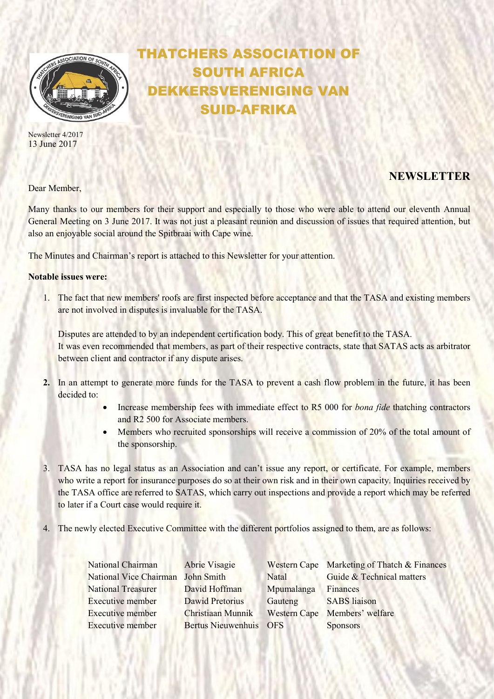

Newsletter 4/2017 13 June 2017

# THATCHERS ASSOCIATION OF SOUTH AFRICA DEKKERSVERENIGING VAN SUID-AFRIKA

## Dear Member.

# NEWSLETTER

Many thanks to our members for their support and especially to those who were able to attend our eleventh Annual General Meeting on 3 June 2017. It was not just a pleasant reunion and discussion of issues that required attention, but also an enjoyable social around the Spitbraai with Cape wine.

The Minutes and Chairman's report is attached to this Newsletter for your attention.

## Notable issues were:

1. The fact that new members' roofs are first inspected before acceptance and that the TASA and existing members are not involved in disputes is invaluable for the TASA.

Disputes are attended to by an independent certification body. This of great benefit to the TASA. It was even recommended that members, as part of their respective contracts, state that SATAS acts as arbitrator between client and contractor if any dispute arises.

- 2. In an attempt to generate more funds for the TASA to prevent a cash flow problem in the future, it has been decided to:
	- Increase membership fees with immediate effect to R5 000 for bona fide thatching contractors and R2 500 for Associate members.
	- Members who recruited sponsorships will receive a commission of 20% of the total amount of the sponsorship.
- 3. TASA has no legal status as an Association and can't issue any report, or certificate. For example, members who write a report for insurance purposes do so at their own risk and in their own capacity. Inquiries received by the TASA office are referred to SATAS, which carry out inspections and provide a report which may be referred to later if a Court case would require it.
- 4. The newly elected Executive Committee with the different portfolios assigned to them, are as follows:

| National Chairman                 | Abrie Visagie          |            | Western Cape Marketing of Thatch & Finances |
|-----------------------------------|------------------------|------------|---------------------------------------------|
| National Vice Chairman John Smith |                        | Natal      | Guide & Technical matters                   |
| <b>National Treasurer</b>         | David Hoffman          | Mpumalanga | Finances                                    |
| <b>Executive member</b>           | Dawid Pretorius        | Gauteng    | <b>SABS</b> liaison                         |
| <b>Executive member</b>           | Christiaan Munnik      |            | Western Cape Members' welfare               |
| <b>Executive member</b>           | Bertus Nieuwenhuis OFS |            | <b>Sponsors</b>                             |
|                                   |                        |            |                                             |